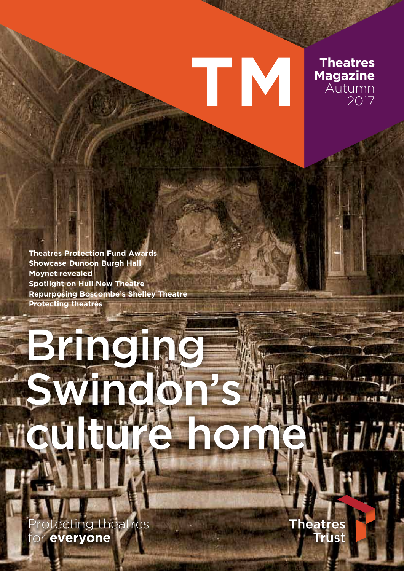## TIV **Magazine**

**Theatres** 

Autumn

2017

**Theatres Protection Fund Awards Showcase Dunoon Burgh Hall** Moynet revealed **Spotlight on Hull New Theatre Repurposing Boscombe's Shelley Theatre Protecting theatres** 

# Brincine A MIL **All Mr. Real De Free** A

otecting theatres or everyone

Theatres **Trust**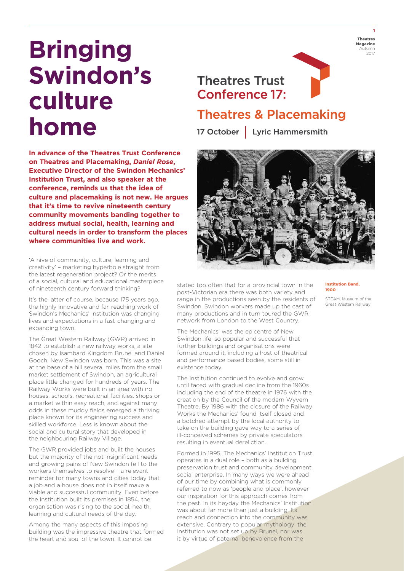### **Bringing Swindon's culture home**

**In advance of the Theatres Trust Conference on Theatres and Placemaking,** *Daniel Rose***, Executive Director of the Swindon Mechanics' Institution Trust, and also speaker at the conference, reminds us that the idea of culture and placemaking is not new. He argues that it's time to revive nineteenth century community movements banding together to address mutual social, health, learning and cultural needs in order to transform the places where communities live and work.**

'A hive of community, culture, learning and creativity' – marketing hyperbole straight from the latest regeneration project? Or the merits of a social, cultural and educational masterpiece of nineteenth century forward thinking?

It's the latter of course, because 175 years ago, the highly innovative and far-reaching work of Swindon's Mechanics' Institution was changing lives and expectations in a fast-changing and expanding town.

The Great Western Railway (GWR) arrived in 1842 to establish a new railway works, a site chosen by Isambard Kingdom Brunel and Daniel Gooch. New Swindon was born. This was a site at the base of a hill several miles from the small market settlement of Swindon, an agricultural place little changed for hundreds of years. The Railway Works were built in an area with no houses, schools, recreational facilities, shops or a market within easy reach, and against many odds in these muddy fields emerged a thriving place known for its engineering success and skilled workforce. Less is known about the social and cultural story that developed in the neighbouring Railway Village.

The GWR provided jobs and built the houses but the majority of the not insignificant needs and growing pains of New Swindon fell to the workers themselves to resolve – a relevant reminder for many towns and cities today that a job and a house does not in itself make a viable and successful community. Even before the Institution built its premises in 1854, the organisation was rising to the social, health, learning and cultural needs of the day.

Among the many aspects of this imposing building was the impressive theatre that formed the heart and soul of the town. It cannot be



#### **Theatres Trust Conference 17:**



### **Theatres & Placemaking**

17 October | Lyric Hammersmith



stated too often that for a provincial town in the post-Victorian era there was both variety and range in the productions seen by the residents of Swindon. Swindon workers made up the cast of many productions and in turn toured the GWR network from London to the West Country.

The Mechanics' was the epicentre of New Swindon life, so popular and successful that further buildings and organisations were formed around it, including a host of theatrical and performance based bodies, some still in existence today.

The Institution continued to evolve and grow until faced with gradual decline from the 1960s including the end of the theatre in 1976 with the creation by the Council of the modern Wyvern Theatre. By 1986 with the closure of the Railway Works the Mechanics' found itself closed and a botched attempt by the local authority to take on the building gave way to a series of ill-conceived schemes by private speculators resulting in eventual dereliction.

Formed in 1995, The Mechanics' Institution Trust operates in a dual role – both as a building preservation trust and community development social enterprise. In many ways we were ahead of our time by combining what is commonly referred to now as 'people and place', however our inspiration for this approach comes from the past. In its heyday the Mechanics' Institution was about far more than just a building. Its reach and connection into the community was extensive. Contrary to popular mythology, the Institution was not set up by Brunel, nor was it by virtue of paternal benevolence from the

#### **Institution Band, 1900**

STEAM, Museum of the Great Western Railway

**1**

2017